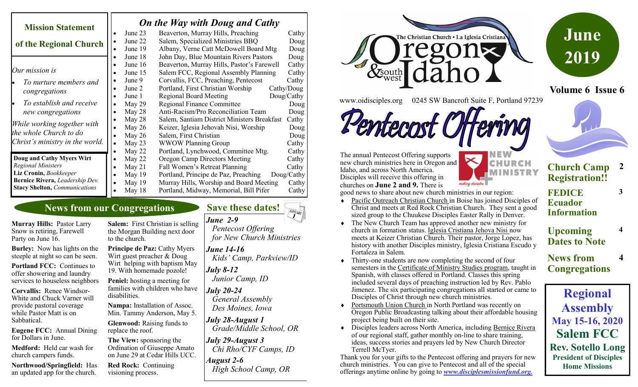|                                      | <b>On the Way with Doug and Cathy</b> |                                                                            |              |
|--------------------------------------|---------------------------------------|----------------------------------------------------------------------------|--------------|
| <b>Mission Statement</b>             | June 23                               | Beaverton, Murray Hills, Preaching                                         | Cathy        |
| of the Regional Church               | June 22<br>June 19                    | Salem, Specialized Ministries BBQ<br>Albany, Verne Catt McDowell Board Mtg | Doug<br>Doug |
|                                      | June 18                               | John Day, Blue Mountain Rivers Pastors                                     | Doug         |
|                                      | June 16                               | Beaverton, Murray Hills, Pastor's Farewell                                 | Cathy        |
| Our mission is                       | June 15                               | Salem FCC, Regional Assembly Planning                                      | Cathy        |
| To nurture members and               | June 9                                | Corvallis, FCC, Preaching, Pentecost                                       | Cathy        |
| congregations                        | June 2                                | Portland, First Christian Worship                                          | Cathy/Doug   |
|                                      | June 1                                | <b>Regional Board Meeting</b>                                              | Doug/Cathy   |
| To establish and receive             | May 29                                | <b>Regional Finance Committee</b>                                          | Doug         |
| new congregations                    | May 28                                | Anti-Racism/Pro Reconciliation Team                                        | Doug         |
|                                      | May 28                                | Salem, Santiam District Ministers Breakfast                                | Cathy        |
| While working together with          | May $26$                              | Keizer, Iglesia Jehovah Nisi, Worship                                      | Doug         |
| the whole Church to do               | May $26$                              | Salem, First Christian                                                     | Doug         |
| Christ's ministry in the world.      | May 23                                | <b>WWOW Planning Group</b>                                                 | Cathy        |
|                                      | May 22                                | Portland, Lynchwood, Committee Mtg.                                        | Cathy        |
| Doug and Cathy Myers Wirt            | May 22<br>٠                           | Oregon Camp Directors Meeting                                              | Cathy        |
| <b>Regional Ministers</b>            | May $21$                              | Fall Women's Retreat Planning                                              | Cathy        |
| Liz Cronin, Bookkeeper               | May 19                                | Doug/Cathy<br>Portland, Principe de Paz, Preaching                         |              |
| Bernice Rivera, Leadership Dev.      | May $19$                              | Murray Hills, Worship and Board Meeting                                    | Cathy        |
| <b>Stacy Shelton, Communications</b> | May 18                                | Portland, Midway, Memorial, Bill Pifer                                     | Cathy        |

# **News from our Congregations**

**Murray Hills:** Pastor Larry Snow is retiring, Farewell Party on June 16.

**Burley:** Now has lights on the steeple at night so can be seen.

**Portland FCC:** Continues to offer showering and laundry services to houseless neighbors

**Corvallis:** Renee Windsor-White and Chuck Varner will provide pastoral coverage while Pastor Matt is on Sabbatical.

**Eugene FCC:** Annual Dining for Dollars in June.

**Medford:** Held car wash for church campers funds.

**Northwood/Springfield:** Has an updated app for the church.

**Salem:** First Christian is selling the Morgan Building next door to the church.

**Principe de Paz: Cathy Myers** Wirt guest preacher & Doug Wirt helping with baptism May 19. With homemade pozole!

**Peniel:** hosting a meeting for families with children who have disabilities.

**Nampa:** Installation of Assoc. Min. Tammy Anderson, May 5.

**Glenwood:** Raising funds to replace the roof.

**The View:** sponsoring the Ordination of Giuseppe Amato on June 29 at Cedar Hills UCC.

**Red Rock:** Continuing visioning process.

*June 2-9 Pentecost Offering for New Church Ministries*

> *June 14-16 Kids' Camp, Parkview/ID*

**Save these dates!** 

*July 8-12 Junior Camp, ID*

*July 20-24 General Assembly Des Moines, Iowa*

*July 28-August 1 Grade/Middle School, OR*

*July 29-August 3 Chi Rho/CYF Camps, ID*

*August 2-6 High School Camp, OR*



**June 2019**

**Volume 6 Issue 6**

www.oidisciples.org 0245 SW Bancroft Suite F, Portland 97239

Fermet

The annual Pentecost Offering supports new church ministries here in Oregon and Idaho, and across North America. Disciples will receive this offering in churches on **June 2 and 9.** There is

MINISTRY making disciples

**Church Camp 2**

**3**

**4**

**4**

good news to share about new church ministries in our region:

- Pacific Outreach Christian Church in Boise has joined Disciples of Christ and meets at Red Rock Christian Church. They sent a good sized group to the Chuukese Disciples Easter Rally in Denver.
- The New Church Team has approved another new ministry for church in formation status. Iglesia Cristiana Jehova Nisi now meets at Keizer Christian Church. Their pastor, Jorge Lopez, has history with another Disciples ministry, Iglesia Cristiana Escudo y Fortaleza in Salem.
- Thirty-one students are now completing the second of four semesters in the Certificate of Ministry Studies program, taught in Spanish, with classes offered in Portland. Classes this spring included several days of preaching instruction led by Rev. Pablo Jimenez. The six participating congregations all started or came to Disciples of Christ through new church ministries.
- Portsmouth Union Church in North Portland was recently on Oregon Public Broadcasting talking about their affordable housing project being built on their site.
- Disciples leaders across North America, including Bernice Rivera of our regional staff, gather monthly on-line to share training, ideas, success stories and prayers led by New Church Director Terrell McTyer.

Thank you for your gifts to the Pentecost offering and prayers for new church ministries. You can give to Pentecost and all of the special offerings anytime online by going to *www.disciplesmissionfund.org.* 

**Registration!!**

**FEDICE Ecuador Information**

**Upcoming Dates to Note**

**News from Congregations**

**Regional Assembly May 15-16, 2020 Salem FCC Rev. Sotello Long President of Disciples Home Missions**